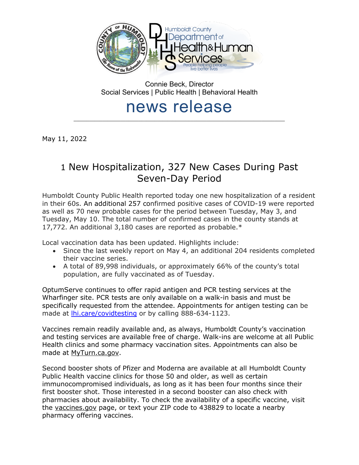

Connie Beck, Director Social Services | Public Health | Behavioral Health

## news release \_\_\_\_\_\_\_\_\_\_\_\_\_\_\_\_\_\_\_\_\_\_\_\_\_\_\_\_\_\_\_\_\_\_\_\_\_\_\_\_\_\_\_\_\_\_\_\_\_\_\_\_\_\_\_\_\_\_\_\_\_\_\_\_\_\_\_\_\_\_\_\_\_\_\_\_\_\_\_\_\_

May 11, 2022

# 1 New Hospitalization, 327 New Cases During Past Seven-Day Period

Humboldt County Public Health reported today one new hospitalization of a resident in their 60s. An additional 257 confirmed positive cases of COVID-19 were reported as well as 70 new probable cases for the period between Tuesday, May 3, and Tuesday, May 10. The total number of confirmed cases in the county stands at 17,772. An additional 3,180 cases are reported as probable.\*

Local vaccination data has been updated. Highlights include:

- Since the last weekly report on May 4, an additional 204 residents completed their vaccine series.
- A total of 89,998 individuals, or approximately 66% of the county's total population, are fully vaccinated as of Tuesday.

OptumServe continues to offer rapid antigen and PCR testing services at the Wharfinger site. PCR tests are only available on a walk-in basis and must be specifically requested from the attendee. Appointments for antigen testing can be made at [lhi.care/covidtesting](https://lhi.care/covidtesting) or by calling 888-634-1123.

Vaccines remain readily available and, as always, Humboldt County's vaccination and testing services are available free of charge. Walk-ins are welcome at all Public Health clinics and some pharmacy vaccination sites. Appointments can also be made at [MyTurn.ca.gov.](https://myturn.ca.gov/)

Second booster shots of Pfizer and Moderna are available at all Humboldt County Public Health vaccine clinics for those 50 and older, as well as certain immunocompromised individuals, as long as it has been four months since their first booster shot. Those interested in a second booster can also check with pharmacies about availability. To check the availability of a specific vaccine, visit the [vaccines.gov](https://www.vaccines.gov/search/) page, or text your ZIP code to 438829 to locate a nearby pharmacy offering vaccines.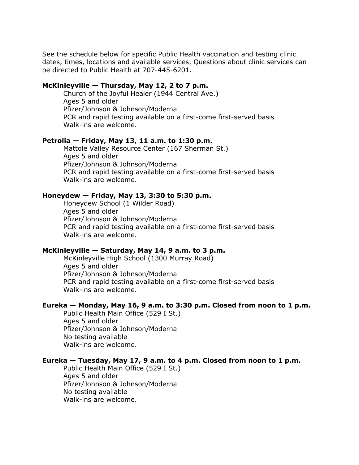See the schedule below for specific Public Health vaccination and testing clinic dates, times, locations and available services. Questions about clinic services can be directed to Public Health at 707-445-6201.

## **McKinleyville — Thursday, May 12, 2 to 7 p.m.**

Church of the Joyful Healer (1944 Central Ave.) Ages 5 and older Pfizer/Johnson & Johnson/Moderna PCR and rapid testing available on a first-come first-served basis Walk-ins are welcome.

#### **Petrolia — Friday, May 13, 11 a.m. to 1:30 p.m.**

Mattole Valley Resource Center (167 Sherman St.) Ages 5 and older Pfizer/Johnson & Johnson/Moderna PCR and rapid testing available on a first-come first-served basis Walk-ins are welcome.

#### **Honeydew — Friday, May 13, 3:30 to 5:30 p.m.**

Honeydew School (1 Wilder Road) Ages 5 and older Pfizer/Johnson & Johnson/Moderna PCR and rapid testing available on a first-come first-served basis Walk-ins are welcome.

## **McKinleyville — Saturday, May 14, 9 a.m. to 3 p.m.**

McKinleyville High School (1300 Murray Road) Ages 5 and older Pfizer/Johnson & Johnson/Moderna PCR and rapid testing available on a first-come first-served basis Walk-ins are welcome.

## **Eureka — Monday, May 16, 9 a.m. to 3:30 p.m. Closed from noon to 1 p.m.**

Public Health Main Office (529 I St.) Ages 5 and older Pfizer/Johnson & Johnson/Moderna No testing available Walk-ins are welcome.

#### **Eureka — Tuesday, May 17, 9 a.m. to 4 p.m. Closed from noon to 1 p.m.**

Public Health Main Office (529 I St.) Ages 5 and older Pfizer/Johnson & Johnson/Moderna No testing available Walk-ins are welcome.